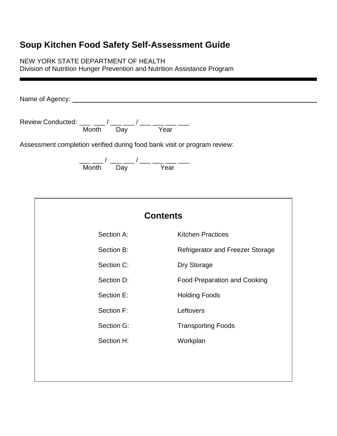# **Soup Kitchen Food Safety Self-Assessment Guide**

NEW YORK STATE DEPARTMENT OF HEALTH

Division of Nutrition Hunger Prevention and Nutrition Assistance Program

Name of Agency:

Review Conducted: \_\_\_ \_\_ / \_\_\_ \_\_ / \_\_\_ \_\_ \_\_ \_\_\_ \_\_\_ Month Day Year

Assessment completion verified during food bank visit or program review:

\_\_\_ \_\_\_ / \_\_\_ \_\_\_ / \_\_\_ \_\_\_ \_\_\_ \_\_\_ Month Day Year

| <b>Contents</b> |                                         |  |
|-----------------|-----------------------------------------|--|
| Section A:      | <b>Kitchen Practices</b>                |  |
| Section B:      | <b>Refrigerator and Freezer Storage</b> |  |
| Section C:      | Dry Storage                             |  |
| Section D:      | <b>Food Preparation and Cooking</b>     |  |
| Section E:      | <b>Holding Foods</b>                    |  |
| Section F:      | Leftovers                               |  |
| Section G:      | <b>Transporting Foods</b>               |  |
| Section H:      | Workplan                                |  |
|                 |                                         |  |
|                 |                                         |  |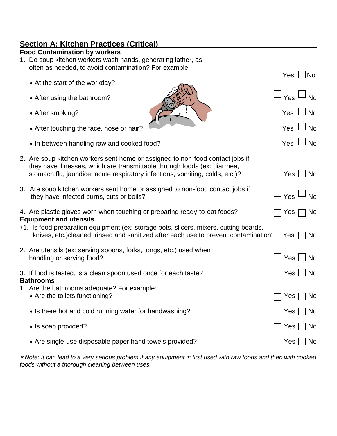# **Section A: Kitchen Practices (Critical)**

| <b>Food Contamination by workers</b> |  |
|--------------------------------------|--|
|--------------------------------------|--|

1. Do soup kitchen workers wash hands, generating lather, as often as needed, to avoid contamination? For example:

|                                                                                                                                                                                                                                            | Yes                    | <b>No</b>   |
|--------------------------------------------------------------------------------------------------------------------------------------------------------------------------------------------------------------------------------------------|------------------------|-------------|
| • At the start of the workday?                                                                                                                                                                                                             |                        |             |
| • After using the bathroom?                                                                                                                                                                                                                | Yes <sup>1</sup>       | No          |
| • After smoking?                                                                                                                                                                                                                           | $\mathbin{\sqcup}$ Yes | $\sqcup$ No |
| • After touching the face, nose or hair?                                                                                                                                                                                                   | $\Box$ Yes $\Box$ No   |             |
| • In between handling raw and cooked food?                                                                                                                                                                                                 | $\Box$ Yes $\Box$ No   |             |
| 2. Are soup kitchen workers sent home or assigned to non-food contact jobs if<br>they have illnesses, which are transmittable through foods (ex: diarrhea,<br>stomach flu, jaundice, acute respiratory infections, vomiting, colds, etc.)? | Yes   No               |             |
| 3. Are soup kitchen workers sent home or assigned to non-food contact jobs if<br>they have infected burns, cuts or boils?                                                                                                                  | Yes <sup>1</sup>       | <b>No</b>   |
| 4. Are plastic gloves worn when touching or preparing ready-to-eat foods?<br><b>Equipment and utensils</b>                                                                                                                                 | Yes                    | No          |
| *1. Is food preparation equipment (ex: storage pots, slicers, mixers, cutting boards,<br>knives, etc.) cleaned, rinsed and sanitized after each use to prevent contamination?                                                              | Yes                    | <b>No</b>   |
| 2. Are utensils (ex: serving spoons, forks, tongs, etc.) used when<br>handling or serving food?                                                                                                                                            | $Yes \mid$             | <b>No</b>   |
| 3. If food is tasted, is a clean spoon used once for each taste?<br><b>Bathrooms</b>                                                                                                                                                       | $Yes \bigsqcup No$     |             |
| 1. Are the bathrooms adequate? For example:<br>• Are the toilets functioning?                                                                                                                                                              | Yes                    | No          |
| • Is there hot and cold running water for handwashing?                                                                                                                                                                                     | Yes                    | No          |
| • Is soap provided?                                                                                                                                                                                                                        | Yes                    | No          |
| • Are single-use disposable paper hand towels provided?                                                                                                                                                                                    | Yes <sub>1</sub>       | <b>No</b>   |
|                                                                                                                                                                                                                                            |                        |             |

 *Note: It can lead to a very serious problem if any equipment is first used with raw foods and then with cooked foods without a thorough cleaning between uses.*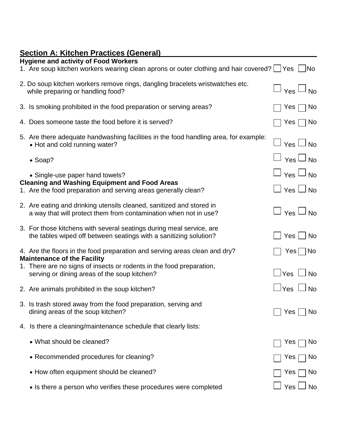# **Section A: Kitchen Practices (General)**

| <b>Hygiene and activity of Food Workers</b><br>1. Are soup kitchen workers wearing clean aprons or outer clothing and hair covered? I Yes Ino                                                                                            |                                              |            |
|------------------------------------------------------------------------------------------------------------------------------------------------------------------------------------------------------------------------------------------|----------------------------------------------|------------|
| 2. Do soup kitchen workers remove rings, dangling bracelets wristwatches etc.<br>while preparing or handling food?                                                                                                                       | $\Box$ $_{\rm Yes}$ $\Box$ $_{\rm No}$       |            |
| 3. Is smoking prohibited in the food preparation or serving areas?                                                                                                                                                                       | Yes                                          | $\Box$ No  |
| 4. Does someone taste the food before it is served?                                                                                                                                                                                      | Yes $\Box$ No                                |            |
| 5. Are there adequate handwashing facilities in the food handling area, for example:<br>• Hot and cold running water?                                                                                                                    | <sup>∣</sup> Yes □ No                        |            |
| $\bullet$ Soap?                                                                                                                                                                                                                          | $\Box$ Yes $\Box$ No                         |            |
| • Single-use paper hand towels?<br><b>Cleaning and Washing Equipment and Food Areas</b><br>1. Are the food preparation and serving areas generally clean?                                                                                | $\Box$ Yes $\Box$ No<br>$\Box$ Yes $\Box$ No |            |
| 2. Are eating and drinking utensils cleaned, sanitized and stored in<br>a way that will protect them from contamination when not in use?                                                                                                 | $\mid$ Yes $\sqcup$ No                       |            |
| 3. For those kitchens with several seatings during meal service, are<br>the tables wiped off between seatings with a sanitizing solution?                                                                                                | Yes     No                                   |            |
| 4. Are the floors in the food preparation and serving areas clean and dry?<br><b>Maintenance of the Facility</b><br>1. There are no signs of insects or rodents in the food preparation,<br>serving or dining areas of the soup kitchen? | $\sqcup$ Yes $\sqcup$ No                     | Yes     No |
| 2. Are animals prohibited in the soup kitchen?                                                                                                                                                                                           | $\sqcup$ Yes $\sqcup$ No                     |            |
| 3. Is trash stored away from the food preparation, serving and<br>dining areas of the soup kitchen?                                                                                                                                      | Yes                                          | No         |
| 4. Is there a cleaning/maintenance schedule that clearly lists:                                                                                                                                                                          |                                              |            |
| • What should be cleaned?                                                                                                                                                                                                                | Yes                                          | <b>No</b>  |
| • Recommended procedures for cleaning?                                                                                                                                                                                                   | Yes                                          | <b>No</b>  |
| • How often equipment should be cleaned?                                                                                                                                                                                                 | Yes                                          | <b>No</b>  |
| • Is there a person who verifies these procedures were completed                                                                                                                                                                         | Yes                                          | <b>No</b>  |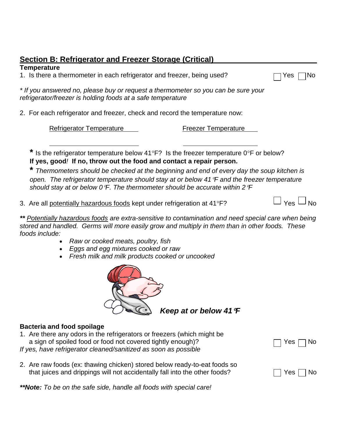| <b>Section B: Refrigerator and Freezer Storage (Critical)</b>                                                                                                                                                                                                                                                                                                                       |                            |                  |
|-------------------------------------------------------------------------------------------------------------------------------------------------------------------------------------------------------------------------------------------------------------------------------------------------------------------------------------------------------------------------------------|----------------------------|------------------|
| <b>Temperature</b><br>1. Is there a thermometer in each refrigerator and freezer, being used?                                                                                                                                                                                                                                                                                       |                            | Yes<br>NΟ        |
| * If you answered no, please buy or request a thermometer so you can be sure your<br>refrigerator/freezer is holding foods at a safe temperature                                                                                                                                                                                                                                    |                            |                  |
| 2. For each refrigerator and freezer, check and record the temperature now:                                                                                                                                                                                                                                                                                                         |                            |                  |
| <b>Refrigerator Temperature</b>                                                                                                                                                                                                                                                                                                                                                     | <b>Freezer Temperature</b> |                  |
| * Is the refrigerator temperature below 41°F? Is the freezer temperature 0°F or below?<br>If yes, good! If no, throw out the food and contact a repair person.<br>Thermometers should be checked at the beginning and end of every day the soup kitchen is<br>open. The refrigerator temperature should stay at or below 41 °F and the freezer temperature                          |                            |                  |
| should stay at or below $0^{\circ}F$ . The thermometer should be accurate within 2 $^{\circ}F$                                                                                                                                                                                                                                                                                      |                            |                  |
| 3. Are all potentially hazardous foods kept under refrigeration at 41°F?                                                                                                                                                                                                                                                                                                            |                            | $Yes \sqcup No$  |
| ** Potentially hazardous foods are extra-sensitive to contamination and need special care when being<br>stored and handled. Germs will more easily grow and multiply in them than in other foods. These<br>foods include:<br>Raw or cooked meats, poultry, fish<br>$\bullet$<br>Eggs and egg mixtures cooked or raw<br>$\bullet$<br>Fresh milk and milk products cooked or uncooked |                            |                  |
|                                                                                                                                                                                                                                                                                                                                                                                     | Keep at or below 41 °F     |                  |
| <b>Bacteria and food spoilage</b><br>1. Are there any odors in the refrigerators or freezers (which might be<br>a sign of spoiled food or food not covered tightly enough)?<br>If yes, have refrigerator cleaned/sanitized as soon as possible                                                                                                                                      |                            | Yes<br>ΝO        |
| 2. Are raw foods (ex: thawing chicken) stored below ready-to-eat foods so<br>that juices and drippings will not accidentally fall into the other foods?                                                                                                                                                                                                                             |                            | Yes<br><b>No</b> |

*\*\*Note: To be on the safe side, handle all foods with special care!*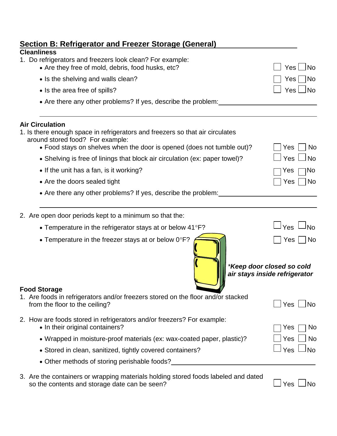| <b>Section B: Refrigerator and Freezer Storage (General)</b>                                                                                                                                                                                                                                     |                                                                         |
|--------------------------------------------------------------------------------------------------------------------------------------------------------------------------------------------------------------------------------------------------------------------------------------------------|-------------------------------------------------------------------------|
| <b>Cleanliness</b><br>1. Do refrigerators and freezers look clean? For example:<br>• Are they free of mold, debris, food husks, etc?                                                                                                                                                             | Yes<br><b>No</b>                                                        |
| • Is the shelving and walls clean?                                                                                                                                                                                                                                                               | <b>No</b><br>Yes                                                        |
| • Is the area free of spills?                                                                                                                                                                                                                                                                    | l No<br>Yes                                                             |
| • Are there any other problems? If yes, describe the problem:                                                                                                                                                                                                                                    |                                                                         |
| <b>Air Circulation</b><br>1. Is there enough space in refrigerators and freezers so that air circulates<br>around stored food? For example:<br>• Food stays on shelves when the door is opened (does not tumble out)?                                                                            | No<br>Yes                                                               |
| • Shelving is free of linings that block air circulation (ex: paper towel)?                                                                                                                                                                                                                      | Yes<br><b>No</b>                                                        |
| • If the unit has a fan, is it working?                                                                                                                                                                                                                                                          | No<br>Yes                                                               |
| • Are the doors sealed tight                                                                                                                                                                                                                                                                     | No<br>Yes                                                               |
| • Are there any other problems? If yes, describe the problem:                                                                                                                                                                                                                                    |                                                                         |
| 2. Are open door periods kept to a minimum so that the:                                                                                                                                                                                                                                          |                                                                         |
| • Temperature in the refrigerator stays at or below $41^{\circ}F$ ?                                                                                                                                                                                                                              | Yes<br><b>No</b>                                                        |
| • Temperature in the freezer stays at or below $0^{\circ}F$ ?                                                                                                                                                                                                                                    | No<br>Yes<br>*Keep door closed so cold<br>air stays inside refrigerator |
| <b>Food Storage</b><br>1. Are foods in refrigerators and/or freezers stored on the floor and/or stacked<br>from the floor to the ceiling?                                                                                                                                                        | Yes<br>N <sub>o</sub>                                                   |
| 2. How are foods stored in refrigerators and/or freezers? For example:<br>• In their original containers?<br>• Wrapped in moisture-proof materials (ex: wax-coated paper, plastic)?<br>• Stored in clean, sanitized, tightly covered containers?<br>• Other methods of storing perishable foods? | Yes<br>No.<br>Yes<br>No<br>Yes<br><b>No</b>                             |
| 3. Are the containers or wrapping materials holding stored foods labeled and dated                                                                                                                                                                                                               |                                                                         |

so the contents and storage date can be seen?  $\Box$  Yes  $\Box$  No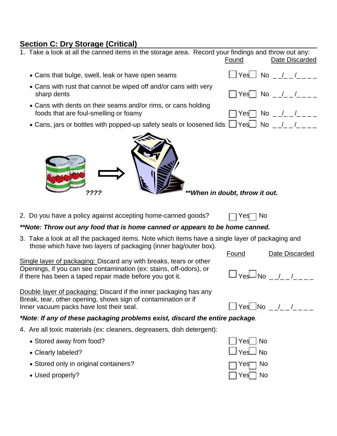#### **Section C: Dry Storage (Critical)**

- 1. Take a look at all the canned items in the storage area. Record your findings and throw out any: Found Date Discarded
	- Cans that bulge, swell, leak or have open seams  $\Box$  Yes  $\Box$  No  $\Box$  / $\Box$  / $\Box$
	- Cans with rust that cannot be wiped off and/or cans with very sharp dents  $\Box$  Yes  $\Box$  No  $\Box$  / $\Box$   $\Box$
	- Cans with dents on their seams and/or rims, or cans holding foods that are foul-smelling or foamy  $\Box$  Yes  $\Box$  Yes  $\Box$  No  $\Box$  / $\Box$  / $\Box$
	- Cans, jars or bottles with popped-up safety seals or loosened lids  $\Box$  Yes  $\Box$  No  $\Box$  /



- 
- 2. Do you have a policy against accepting home-canned goods?  $\Box$  Yes  $\Box$  No

#### *\*\*Note: Throw out any food that is home canned or appears to be home canned.*

3. Take a look at all the packaged items. Note which items have a single layer of packaging and those which have two layers of packaging (inner bag/outer box).

Single layer of packaging: Discard any with breaks, tears or other Openings, if you can see contamination (ex: stains, off-odors), or Operings, if you can see contamination (ex. statio, on ouvro), or  $\Box$   $\gamma$ es  $\Box$  No  $\Box/$  $\Box$  $\Box$  $\Box$  $\Box$  $\Box$  $\Box$ 

Double layer of packaging: Discard if the inner packaging has any Break, tear, other opening, shows sign of contamination or if Diedik, tear, ether opening, effects eight of containments of  $\Box$  Yes  $\Box$  Yes  $\Box$  No  $\Box$  / $\Box$   $\bot$   $\bot$   $\bot$ 

#### *\*Note: If any of these packaging problems exist, discard the entire package.*

- 4. Are all toxic materials (ex: cleaners, degreasers, dish detergent):
	- Stored away from food?  $\Box$  Yes No
	- Clearly labeled?  $\Box$  Yes  $\Box$  No
	- Stored only in original containers?  $\Box$  Yes  $\Box$  No
	- $\bullet$  Used properly?  $\Box$  Yes  $\Box$  No



Found Date Discarded





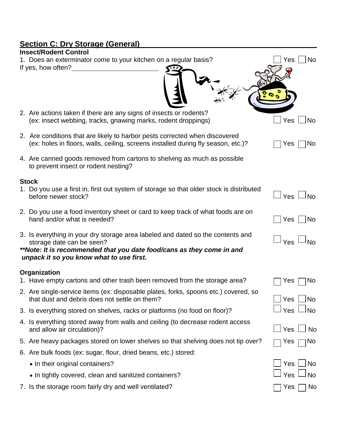# **Section C: Dry Storage (General)**

| <u>section of Dry Otorage (Ocher</u>                                                                                                                                                                                              |                  |
|-----------------------------------------------------------------------------------------------------------------------------------------------------------------------------------------------------------------------------------|------------------|
| <b>Insect/Rodent Control</b>                                                                                                                                                                                                      | No<br>Yes        |
| 1. Does an exterminator come to your kitchen on a regular basis?<br>If yes, how often?                                                                                                                                            |                  |
| 2. Are actions taken if there are any signs of insects or rodents?<br>(ex: insect webbing, tracks, gnawing marks, rodent droppings)                                                                                               | <b>No</b><br>Yes |
| 2. Are conditions that are likely to harbor pests corrected when discovered<br>(ex: holes in floors, walls, ceiling, screens installed during fly season, etc.)?                                                                  | No<br>Yes        |
| 4. Are canned goods removed from cartons to shelving as much as possible<br>to prevent insect or rodent nesting?                                                                                                                  |                  |
| <b>Stock</b>                                                                                                                                                                                                                      |                  |
| 1. Do you use a first in, first out system of storage so that older stock is distributed<br>before newer stock?                                                                                                                   | Yes $\Box$ No    |
| 2. Do you use a food inventory sheet or card to keep track of what foods are on<br>hand and/or what is needed?                                                                                                                    | <b>No</b><br>Yes |
| 3. Is everything in your dry storage area labeled and dated so the contents and<br>storage date can be seen?<br>**Note: It is recommended that you date food/cans as they come in and<br>unpack it so you know what to use first. | Yes<br>No        |
| Organization                                                                                                                                                                                                                      |                  |
| 1. Have empty cartons and other trash been removed from the storage area?                                                                                                                                                         | <b>No</b><br>Yes |
| 2. Are single-service items (ex: disposable plates, forks, spoons etc.) covered, so<br>that dust and debris does not settle on them?                                                                                              | <b>No</b><br>Yes |
| 3. Is everything stored on shelves, racks or platforms (no food on floor)?                                                                                                                                                        | Yes<br><b>No</b> |
| 4. Is everything stored away from walls and ceiling (to decrease rodent access<br>and allow air circulation)?                                                                                                                     | Yes<br><b>No</b> |
| 5. Are heavy packages stored on lower shelves so that shelving does not tip over?                                                                                                                                                 | <b>No</b><br>Yes |
| 6. Are bulk foods (ex: sugar, flour, dried beans, etc.) stored:                                                                                                                                                                   |                  |
| • In their original containers?                                                                                                                                                                                                   | Yes<br><b>No</b> |
| • In tightly covered, clean and sanitized containers?                                                                                                                                                                             | Yes<br><b>No</b> |
|                                                                                                                                                                                                                                   |                  |

7. Is the storage room fairly dry and well ventilated?  $\Box$  Yes  $\Box$  No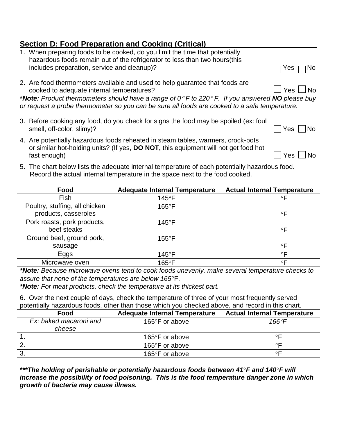### **Section D: Food Preparation and Cooking (Critical)**

| 1. When preparing foods to be cooked, do you limit the time that potentially<br>hazardous foods remain out of the refrigerator to less than two hours (this                                                |                      |
|------------------------------------------------------------------------------------------------------------------------------------------------------------------------------------------------------------|----------------------|
| includes preparation, service and cleanup)?                                                                                                                                                                | ∩No<br>ן Yes ∣       |
| 2. Are food thermometers available and used to help guarantee that foods are<br>cooked to adequate internal temperatures?                                                                                  | $\Box$ Yes $\Box$ No |
| *Note: Product thermometers should have a range of $0^{\circ}$ F to 220° F. If you answered NO please buy<br>or request a probe thermometer so you can be sure all foods are cooked to a safe temperature. |                      |
| 3. Before cooking any food, do you check for signs the food may be spoiled (ex: foul<br>smell, off-color, slimy)?                                                                                          | - INo<br>Yes         |
| 4. Are potentially hazardous foods reheated in steam tables, warmers, crock-pots                                                                                                                           |                      |

- or similar hot-holding units? (If yes, **DO NOT,** this equipment will not get food hot fast enough)  $\Box$  Yes  $\Box$  No
- 5. The chart below lists the adequate internal temperature of each potentially hazardous food. Record the actual internal temperature in the space next to the food cooked.

| Food                                                   | <b>Adequate Internal Temperature</b> | <b>Actual Internal Temperature</b> |
|--------------------------------------------------------|--------------------------------------|------------------------------------|
| <b>Fish</b>                                            | $145^{\circ}$ F                      | $\circ \mathsf{F}$                 |
| Poultry, stuffing, all chicken<br>products, casseroles | $165^{\circ}$ F                      | $\circ \mathsf{F}$                 |
| Pork roasts, pork products,<br>beef steaks             | $145^{\circ}$ F                      | $\circ$ F                          |
| Ground beef, ground pork,<br>sausage                   | $155^{\circ}$ F                      | $\circ \mathsf{F}$                 |
| Eggs                                                   | 145°F                                | $\circ \mathsf{F}$                 |
| Microwave oven                                         | 165°F                                | $\circ \mathsf{F}$                 |

*\*Note: Because microwave ovens tend to cook foods unevenly, make several temperature checks to assure that none of the temperatures are below 165*F.

*\*Note: For meat products, check the temperature at its thickest part.*

6. Over the next couple of days, check the temperature of three of your most frequently served potentially hazardous foods, other than those which you checked above, and record in this chart.

| Food                   | <b>Adequate Internal Temperature</b> | <b>Actual Internal Temperature</b> |
|------------------------|--------------------------------------|------------------------------------|
| Ex: baked macaroni and | 165°F or above                       | 166°F                              |
| cheese                 |                                      |                                    |
|                        | 165°F or above                       | ∘⊏                                 |
|                        | 165°F or above                       | ◦⊏                                 |
|                        | 165°F or above                       | ◦⊏                                 |

*\*\*\*The holding of perishable or potentially hazardous foods between 41F and 140F will increase the possibility of food poisoning. This is the food temperature danger zone in which growth of bacteria may cause illness.*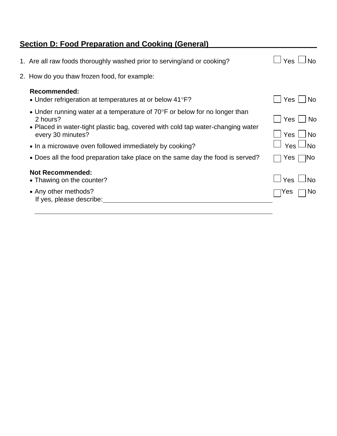# **Section D: Food Preparation and Cooking (General)**

| 1. Are all raw foods thoroughly washed prior to serving/and or cooking?                                                                                                                                  | $\Box$ Yes<br>⊟ No                         |
|----------------------------------------------------------------------------------------------------------------------------------------------------------------------------------------------------------|--------------------------------------------|
| 2. How do you thaw frozen food, for example:                                                                                                                                                             |                                            |
| Recommended:<br>• Under refrigeration at temperatures at or below $41^{\circ}F$ ?                                                                                                                        | Yes<br><b>No</b>                           |
| • Under running water at a temperature of $70^{\circ}$ F or below for no longer than<br>2 hours?<br>• Placed in water-tight plastic bag, covered with cold tap water-changing water<br>every 30 minutes? | Yes I<br>⊟ No<br>$Yes$ $\Box$<br><b>No</b> |
| • In a microwave oven followed immediately by cooking?                                                                                                                                                   | $\Box$ Yes $\Box$ No                       |
| • Does all the food preparation take place on the same day the food is served?                                                                                                                           | ⊺No<br>Yes                                 |
| <b>Not Recommended:</b><br>• Thawing on the counter?                                                                                                                                                     | $\Box$ Yes $\Box$<br>∟ No                  |
| • Any other methods?<br>If yes, please describe:                                                                                                                                                         | <b>No</b><br><b>Yes</b>                    |
|                                                                                                                                                                                                          |                                            |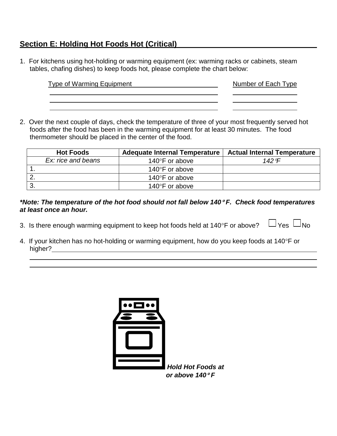### **Section E: Holding Hot Foods Hot (Critical)**

1. For kitchens using hot-holding or warming equipment (ex: warming racks or cabinets, steam tables, chafing dishes) to keep foods hot, please complete the chart below:

| <b>Type of Warming Equipment</b> | Number of Each Type |
|----------------------------------|---------------------|
|                                  |                     |
|                                  |                     |

2. Over the next couple of days, check the temperature of three of your most frequently served hot foods after the food has been in the warming equipment for at least 30 minutes. The food thermometer should be placed in the center of the food.

| <b>Hot Foods</b>   | Adequate Internal Temperature | <b>Actual Internal Temperature</b> |
|--------------------|-------------------------------|------------------------------------|
| Ex: rice and beans | 140 $\degree$ F or above      | 142 $\degree$ F                    |
|                    | 140 $\degree$ F or above      |                                    |
|                    | 140 $\degree$ F or above      |                                    |
|                    | 140°F or above                |                                    |

#### *\*Note: The temperature of the hot food should not fall below 140 F. Check food temperatures at least once an hour.*

- 3. Is there enough warming equipment to keep hot foods held at 140°F or above?  $\Box$  Yes  $\Box$ No
- 4. If your kitchen has no hot-holding or warming equipment, how do you keep foods at  $140^{\circ}$ F or higher?

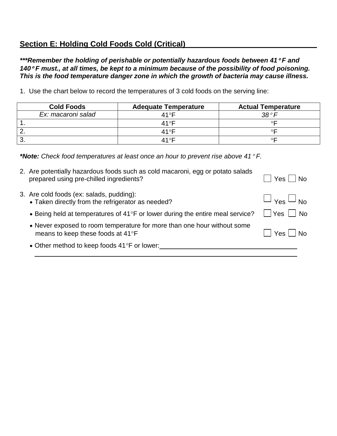### **Section E: Holding Cold Foods Cold (Critical)**

*\*\*\*Remember the holding of perishable or potentially hazardous foods between 41 F and 140 F must., at all times, be kept to a minimum because of the possibility of food poisoning. This is the food temperature danger zone in which the growth of bacteria may cause illness.*

1. Use the chart below to record the temperatures of 3 cold foods on the serving line:

| <b>Cold Foods</b>  | <b>Adequate Temperature</b> | <b>Actual Temperature</b> |
|--------------------|-----------------------------|---------------------------|
| Ex: macaroni salad | 41°F                        | $38^\circ F$              |
|                    | $41^\circ$ F                |                           |
|                    | $41^\circ$ F                |                           |
|                    | $41^\circ$ F                |                           |

*\*Note: Check food temperatures at least once an hour to prevent rise above 41 F.*

| 2. Are potentially hazardous foods such as cold macaroni, egg or potato salads<br>prepared using pre-chilled ingredients? | Yes     No                                     |
|---------------------------------------------------------------------------------------------------------------------------|------------------------------------------------|
| 3. Are cold foods (ex: salads, pudding):<br>• Taken directly from the refrigerator as needed?                             | $\Box$ $_{\text{Yes}}$ $\Box$ No               |
| • Being held at temperatures of 41°F or lower during the entire meal service?                                             | $\overline{\phantom{a}}$ No<br>$ $ $ $ Yes $ $ |
| • Never exposed to room temperature for more than one hour without some<br>means to keep these foods at 41°F              | Yes     No                                     |
| • Other method to keep foods 41°F or lower:                                                                               |                                                |
|                                                                                                                           |                                                |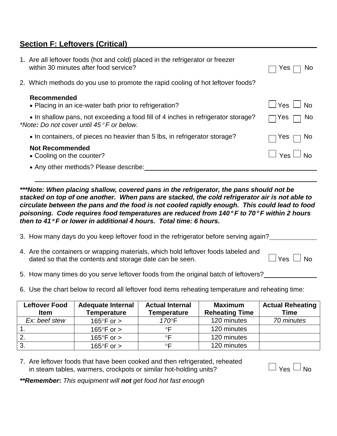### **Section F: Leftovers (Critical)**

| 1. Are all leftover foods (hot and cold) placed in the refrigerator or freezer<br>within 30 minutes after food service?                 | <b>No</b><br>Yes     |
|-----------------------------------------------------------------------------------------------------------------------------------------|----------------------|
| 2. Which methods do you use to promote the rapid cooling of hot leftover foods?                                                         |                      |
| <b>Recommended</b>                                                                                                                      |                      |
| • Placing in an ice-water bath prior to refrigeration?                                                                                  | $\Box$ Yes $\Box$ No |
| • In shallow pans, not exceeding a food fill of 4 inches in refrigerator storage?<br>*Note: Do not cover until $45^{\circ}$ F or below. | No.<br>Yes           |
| • In containers, of pieces no heavier than 5 lbs, in refrigerator storage?                                                              | No.<br>Yes           |
| <b>Not Recommended</b>                                                                                                                  |                      |
| • Cooling on the counter?                                                                                                               | $\Box$ Yes $\Box$ No |
| • Any other methods? Please describe:                                                                                                   |                      |
|                                                                                                                                         |                      |

*\*\*\*Note: When placing shallow, covered pans in the refrigerator, the pans should not be stacked on top of one another. When pans are stacked, the cold refrigerator air is not able to circulate between the pans and the food is not cooled rapidly enough. This could lead to food poisoning. Code requires food temperatures are reduced from 140 F to 70 F within 2 hours then to 41 F or lower in additional 4 hours. Total time: 6 hours.*

- 3. How many days do you keep leftover food in the refrigerator before serving again?
- 4. Are the containers or wrapping materials, which hold leftover foods labeled and dated so that the contents and storage date can be seen.  $\Box$  Yes  $\Box$  No
- 5. How many times do you serve leftover foods from the original batch of leftovers?
- 6. Use the chart below to record all leftover food items reheating temperature and reheating time:

| <b>Leftover Food</b><br><b>Item</b> | <b>Adequate Internal</b><br><b>Temperature</b> | <b>Actual Internal</b><br>Temperature | <b>Maximum</b><br><b>Reheating Time</b> | <b>Actual Reheating</b><br><b>Time</b> |
|-------------------------------------|------------------------------------------------|---------------------------------------|-----------------------------------------|----------------------------------------|
| Ex: beef stew                       | 165 $\degree$ F or $>$                         | $170^\circ$ F                         | 120 minutes                             | 70 minutes                             |
|                                     | 165 $\degree$ F or $>$                         | ∘⊏                                    | 120 minutes                             |                                        |
|                                     | 165 $\degree$ F or $>$                         | ∘⊏                                    | 120 minutes                             |                                        |
| -3.                                 | 165 $\degree$ F or $>$                         | ∘⊏                                    | 120 minutes                             |                                        |

7. Are leftover foods that have been cooked and then refrigerated, reheated in steam tables, warmers, crockpots or similar hot-holding units?  $\Box$  Yes  $\Box$  No

*\*\*Remember***:** *This equipment will not get food hot fast enough*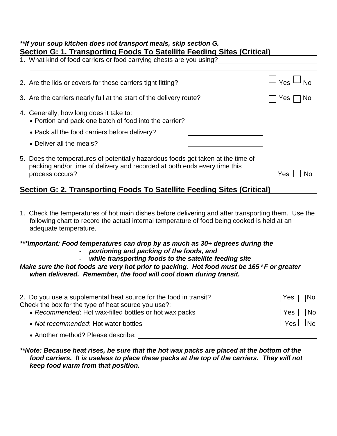#### *\*\*If your soup kitchen does not transport meals, skip section G.* **Section G: 1. Transporting Foods To Satellite Feeding Sites (Critical)**

| <u>Jection O. T. Hansporting I OOUS TO Jalenite Feeding Sites (Chilical)</u><br>1. What kind of food carriers or food carrying chests are you using?                             |                  |  |
|----------------------------------------------------------------------------------------------------------------------------------------------------------------------------------|------------------|--|
| 2. Are the lids or covers for these carriers tight fitting?                                                                                                                      | $\Box$ Yes       |  |
| 3. Are the carriers nearly full at the start of the delivery route?                                                                                                              | <b>No</b><br>Yes |  |
| 4. Generally, how long does it take to:<br>• Portion and pack one batch of food into the carrier?<br>• Pack all the food carriers before delivery?<br>• Deliver all the meals?   |                  |  |
| 5. Does the temperatures of potentially hazardous foods get taken at the time of<br>packing and/or time of delivery and recorded at both ends every time this<br>process occurs? | No<br>Yes        |  |

### **Section G: 2. Transporting Foods To Satellite Feeding Sites (Critical)**

1. Check the temperatures of hot main dishes before delivering and after transporting them. Use the following chart to record the actual internal temperature of food being cooked is held at an adequate temperature.

### *\*\*\*Important: Food temperatures can drop by as much as 30+ degrees during the*

- *portioning and packing of the foods, and*
- *while transporting foods to the satellite feeding site*

#### *Make sure the hot foods are very hot prior to packing. Hot food must be 165 F or greater when delivered. Remember, the food will cool down during transit.*

| 2. Do you use a supplemental heat source for the food in transit?<br>Check the box for the type of heat source you use?: | $\Box$ Yes $\Box$ No |
|--------------------------------------------------------------------------------------------------------------------------|----------------------|
| • Recommended: Hot wax-filled bottles or hot wax packs                                                                   | $\Box$ Yes $\Box$ No |
| • Not recommended: Hot water bottles                                                                                     | $\Box$ Yes $\Box$ No |

Another method? Please describe:

#### *\*\*Note: Because heat rises, be sure that the hot wax packs are placed at the bottom of the*  food carriers. It is useless to place these packs at the top of the carriers. They will not *keep food warm from that position.*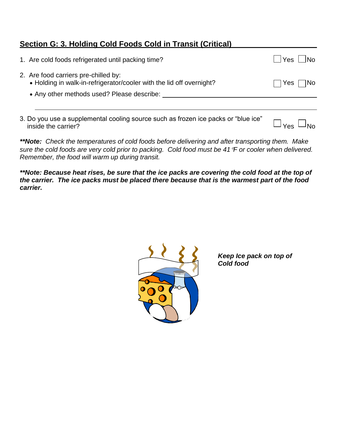### **Section G: 3. Holding Cold Foods Cold in Transit (Critical)**

| 1. Are cold foods refrigerated until packing time?                                                                                                         | INo.<br>Yes I |
|------------------------------------------------------------------------------------------------------------------------------------------------------------|---------------|
| 2. Are food carriers pre-chilled by:<br>• Holding in walk-in-refrigerator/cooler with the lid off overnight?<br>• Any other methods used? Please describe: | INo.<br>Yes   |
|                                                                                                                                                            |               |

3. Do you use a supplemental cooling source such as frozen ice packs or "blue ice" bo you use a supplemental cooling source such as hozen for packs of blue for  $\Box_{\text{Yes}}\Box_{\text{No}}$ 

*\*\*Note: Check the temperatures of cold foods before delivering and after transporting them. Make sure the cold foods are very cold prior to packing. Cold food must be 41F or cooler when delivered. Remember, the food will warm up during transit.*

*\*\*Note: Because heat rises, be sure that the ice packs are covering the cold food at the top of the carrier. The ice packs must be placed there because that is the warmest part of the food carrier.*



*Keep Ice pack on top of Cold food*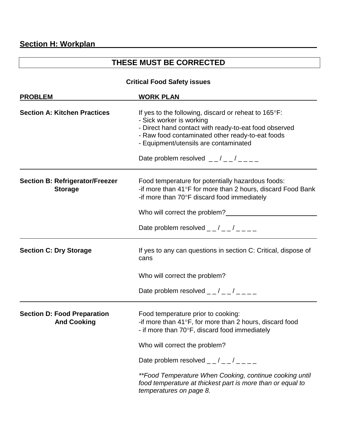## **THESE MUST BE CORRECTED**

#### **Critical Food Safety issues**

| <b>WORK PLAN</b><br><b>PROBLEM</b>                       |                                                                                                                                                                                                                                                                                      |  |
|----------------------------------------------------------|--------------------------------------------------------------------------------------------------------------------------------------------------------------------------------------------------------------------------------------------------------------------------------------|--|
| <b>Section A: Kitchen Practices</b>                      | If yes to the following, discard or reheat to 165°F:<br>- Sick worker is working<br>- Direct hand contact with ready-to-eat food observed<br>- Raw food contaminated other ready-to-eat foods<br>- Equipment/utensils are contaminated<br>Date problem resolved $ /$ $ /$ $ /$ $  -$ |  |
| <b>Section B: Refrigerator/Freezer</b><br><b>Storage</b> | Food temperature for potentially hazardous foods:<br>-if more than 41°F for more than 2 hours, discard Food Bank<br>-if more than 70°F discard food immediately<br>Who will correct the problem?                                                                                     |  |
|                                                          | Date problem resolved $  /$ $  /$ $  -$                                                                                                                                                                                                                                              |  |
| <b>Section C: Dry Storage</b>                            | If yes to any can questions in section C: Critical, dispose of<br>cans                                                                                                                                                                                                               |  |
|                                                          | Who will correct the problem?                                                                                                                                                                                                                                                        |  |
|                                                          | Date problem resolved $  /$ $  /$ $  -$                                                                                                                                                                                                                                              |  |
| <b>Section D: Food Preparation</b><br><b>And Cooking</b> | Food temperature prior to cooking:<br>-if more than 41°F, for more than 2 hours, discard food<br>- if more than 70°F, discard food immediately                                                                                                                                       |  |
|                                                          | Who will correct the problem?                                                                                                                                                                                                                                                        |  |
|                                                          | Date problem resolved $  /$ $  /$ $  -$                                                                                                                                                                                                                                              |  |
|                                                          | **Food Temperature When Cooking, continue cooking until<br>food temperature at thickest part is more than or equal to<br>temperatures on page 8.                                                                                                                                     |  |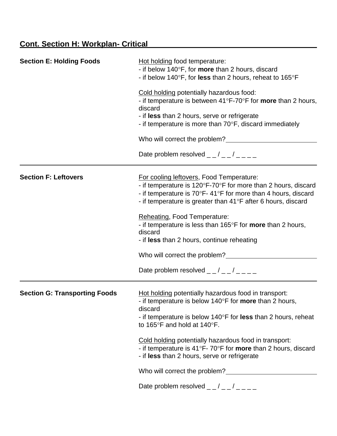| <b>Section E: Holding Foods</b>      | Hot holding food temperature:<br>- if below 140°F, for more than 2 hours, discard<br>- if below 140°F, for less than 2 hours, reheat to 165°F                                                                                                                                               |  |
|--------------------------------------|---------------------------------------------------------------------------------------------------------------------------------------------------------------------------------------------------------------------------------------------------------------------------------------------|--|
|                                      | Cold holding potentially hazardous food:<br>- if temperature is between $41^{\circ}F$ -70°F for <b>more</b> than 2 hours,<br>discard<br>- if less than 2 hours, serve or refrigerate<br>- if temperature is more than $70^{\circ}$ F, discard immediately                                   |  |
|                                      | Who will correct the problem?                                                                                                                                                                                                                                                               |  |
|                                      | Date problem resolved $  /$ $  /$ $  -$                                                                                                                                                                                                                                                     |  |
| <b>Section F: Leftovers</b>          | For cooling leftovers, Food Temperature:<br>- if temperature is 120°F-70°F for more than 2 hours, discard<br>- if temperature is $70^{\circ}F - 41^{\circ}F$ for more than 4 hours, discard<br>- if temperature is greater than 41°F after 6 hours, discard<br>Reheating, Food Temperature: |  |
|                                      | - if temperature is less than 165°F for more than 2 hours,<br>discard<br>- if less than 2 hours, continue reheating                                                                                                                                                                         |  |
|                                      | Who will correct the problem?                                                                                                                                                                                                                                                               |  |
|                                      | Date problem resolved $  /$ $  /$ $  -$                                                                                                                                                                                                                                                     |  |
| <b>Section G: Transporting Foods</b> | Hot holding potentially hazardous food in transport:<br>- if temperature is below 140°F for <b>more</b> than 2 hours,<br>discard<br>- if temperature is below $140^{\circ}$ F for less than 2 hours, reheat<br>to 165 $\degree$ F and hold at 140 $\degree$ F.                              |  |
|                                      | Cold holding potentially hazardous food in transport:<br>- if temperature is 41°F-70°F for more than 2 hours, discard<br>- if less than 2 hours, serve or refrigerate                                                                                                                       |  |
|                                      |                                                                                                                                                                                                                                                                                             |  |
|                                      | Date problem resolved $  /$ $  /$ $  -$                                                                                                                                                                                                                                                     |  |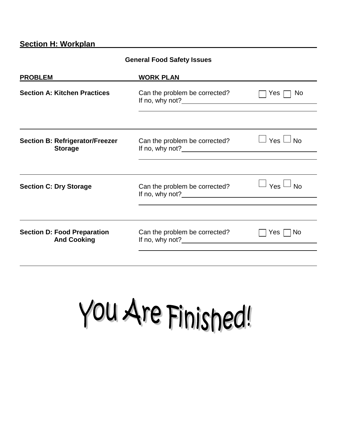#### **Section H: Workplan**

| <b>General Food Safety Issues</b>                        |                                                                                                                                                                                                                                                                    |                      |  |
|----------------------------------------------------------|--------------------------------------------------------------------------------------------------------------------------------------------------------------------------------------------------------------------------------------------------------------------|----------------------|--|
| <b>PROBLEM</b>                                           | <b>WORK PLAN</b>                                                                                                                                                                                                                                                   |                      |  |
| <b>Section A: Kitchen Practices</b>                      | Can the problem be corrected?<br>If no, why not? $\frac{1}{2}$ is the set of the set of the set of the set of the set of the set of the set of the set of the set of the set of the set of the set of the set of the set of the set of the set of the set of the s | No<br>Yes $\Gamma$   |  |
|                                                          |                                                                                                                                                                                                                                                                    |                      |  |
| <b>Section B: Refrigerator/Freezer</b><br><b>Storage</b> | Can the problem be corrected?                                                                                                                                                                                                                                      | $\Box$ Yes $\Box$ No |  |
|                                                          |                                                                                                                                                                                                                                                                    |                      |  |
| <b>Section C: Dry Storage</b>                            | Can the problem be corrected?<br>If no, why not? $\blacksquare$                                                                                                                                                                                                    | $\Box$ Yes $\Box$ No |  |
|                                                          |                                                                                                                                                                                                                                                                    |                      |  |
| <b>Section D: Food Preparation</b><br><b>And Cooking</b> | Can the problem be corrected?<br>If no, why not? $\blacksquare$                                                                                                                                                                                                    | Yes I<br>l No        |  |
|                                                          |                                                                                                                                                                                                                                                                    |                      |  |

You Are Finished!